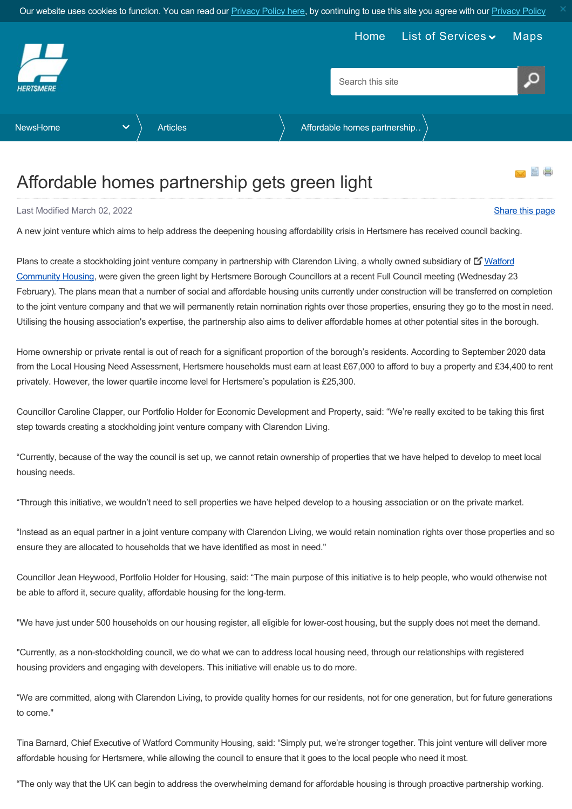<span id="page-0-0"></span>

## Affordable homes partnership gets green light

Last Modified March 02, 2022 [Share this page](http://www.addthis.com/bookmark.php?v=250&pubid=xa-502e5fd570edcb1e) of the state of the state of the state of the state of the state of the state of the state of the state of the state of the state of the state of the state of the state of the s

A new joint venture which aims to help address the deepening housing affordability crisis in Hertsmere has received council backing.

Plans to create a stockholding joint venture company in partnership with Clarendon Living, a wholly owned subsidiary of **L'** Watford Community Housing, were given the green light by Hertsmere Borough Councillors at a recent Full Council meeting (Wednesday 23 February). The plans mean that a number of social and affordable housing units currently under construction will be transferred on completion to the joint venture company and that we will permanently retain nomination rights over those properties, ensuring they go to the most in need. Utilising the housing association's expertise, the partnership also aims to deliver affordable homes at other potential sites in the borough.

Home ownership or private rental is out of reach for a significant proportion of the borough's residents. According to September 2020 data from the Local Housing Need Assessment, Hertsmere households must earn at least £67,000 to afford to buy a property and £34,400 to rent privately. However, the lower quartile income level for Hertsmere's population is £25,300.

Councillor Caroline Clapper, our Portfolio Holder for Economic Development and Property, said: "We're really excited to be taking this first step towards creating a stockholding joint venture company with Clarendon Living.

"Currently, because of the way the council is set up, we cannot retain ownership of properties that we have helped to develop to meet local housing needs.

"Through this initiative, we wouldn't need to sell properties we have helped develop to a housing association or on the private market.

"Instead as an equal partner in a joint venture company with Clarendon Living, we would retain nomination rights over those properties and so ensure they are allocated to households that we have identified as most in need."

Councillor Jean Heywood, Portfolio Holder for Housing, said: "The main purpose of this initiative is to help people, who would otherwise not be able to afford it, secure quality, affordable housing for the long-term.

"We have just under 500 households on our housing register, all eligible for lower-cost housing, but the supply does not meet the demand.

"Currently, as a non-stockholding council, we do what we can to address local housing need, through our relationships with registered housing providers and engaging with developers. This initiative will enable us to do more.

"We are committed, along with Clarendon Living, to provide quality homes for our residents, not for one generation, but for future generations to come."

Tina Barnard, Chief Executive of Watford Community Housing, said: "Simply put, we're stronger together. This joint venture will deliver more affordable housing for Hertsmere, while allowing the council to ensure that it goes to the local people who need it most.

"The only way that the UK can begin to address the overwhelming demand for affordable housing is through proactive partnership working.